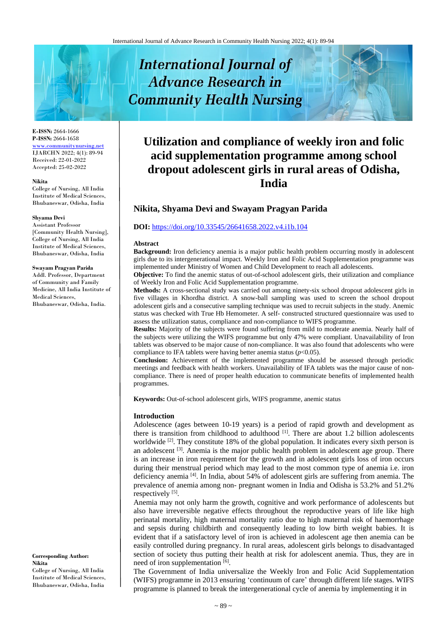# **International Journal of Advance Research in Community Health Nursing**

#### **E-ISSN:** 2664-1666 **P-ISSN:** 2664-1658 [www.communitynursing.net](http://www.communitynursing.net/) IJARCHN 2022; 4(1): 89-94

Received: 22-01-2022 Accepted: 25-02-2022

#### **Nikita**

College of Nursing, All India Institute of Medical Sciences, Bhubaneswar, Odisha, India

#### **Shyama Devi**

Assistant Professor [Community Health Nursing], College of Nursing, All India Institute of Medical Sciences, Bhubaneswar, Odisha, India

#### **Swayam Pragyan Parida**

Addl. Professor, Department of Community and Family Medicine, All India Institute of Medical Sciences, Bhubaneswar, Odisha, India.

**Corresponding Author: Nikita** College of Nursing, All India Institute of Medical Sciences, Bhubaneswar, Odisha, India

# **Utilization and compliance of weekly iron and folic acid supplementation programme among school dropout adolescent girls in rural areas of Odisha, India**

# **Nikita, Shyama Devi and Swayam Pragyan Parida**

#### **DOI:** <https://doi.org/10.33545/26641658.2022.v4.i1b.104>

#### **Abstract**

**Background:** Iron deficiency anemia is a major public health problem occurring mostly in adolescent girls due to its intergenerational impact. Weekly Iron and Folic Acid Supplementation programme was implemented under Ministry of Women and Child Development to reach all adolescents.

**Objective:** To find the anemic status of out-of-school adolescent girls, their utilization and compliance of Weekly Iron and Folic Acid Supplementation programme.

**Methods:** A cross-sectional study was carried out among ninety-six school dropout adolescent girls in five villages in Khordha district. A snow-ball sampling was used to screen the school dropout adolescent girls and a consecutive sampling technique was used to recruit subjects in the study. Anemic status was checked with True Hb Hemometer. A self- constructed structured questionnaire was used to assess the utilization status, compliance and non-compliance to WIFS programme.

**Results:** Majority of the subjects were found suffering from mild to moderate anemia. Nearly half of the subjects were utilizing the WIFS programme but only 47% were compliant. Unavailability of Iron tablets was observed to be major cause of non-compliance. It was also found that adolescents who were compliance to IFA tablets were having better anemia status  $(p<0.05)$ .

**Conclusion:** Achievement of the implemented programme should be assessed through periodic meetings and feedback with health workers. Unavailability of IFA tablets was the major cause of noncompliance. There is need of proper health education to communicate benefits of implemented health programmes.

**Keywords:** Out-of-school adolescent girls, WIFS programme, anemic status

#### **Introduction**

Adolescence (ages between 10-19 years) is a period of rapid growth and development as there is transition from childhood to adulthood <sup>[1]</sup>. There are about 1.2 billion adolescents worldwide <sup>[2]</sup>. They constitute 18% of the global population. It indicates every sixth person is an adolescent <sup>[3]</sup>. Anemia is the major public health problem in adolescent age group. There is an increase in iron requirement for the growth and in adolescent girls loss of iron occurs during their menstrual period which may lead to the most common type of anemia i.e. iron deficiency anemia<sup>[4]</sup>. In India, about 54% of adolescent girls are suffering from anemia. The prevalence of anemia among non- pregnant women in India and Odisha is 53.2% and 51.2% respectively [5].

Anemia may not only harm the growth, cognitive and work performance of adolescents but also have irreversible negative effects throughout the reproductive years of life like high perinatal mortality, high maternal mortality ratio due to high maternal risk of haemorrhage and sepsis during childbirth and consequently leading to low birth weight babies. It is evident that if a satisfactory level of iron is achieved in adolescent age then anemia can be easily controlled during pregnancy. In rural areas, adolescent girls belongs to disadvantaged section of society thus putting their health at risk for adolescent anemia. Thus, they are in need of iron supplementation [6].

The Government of India universalize the Weekly Iron and Folic Acid Supplementation (WIFS) programme in 2013 ensuring 'continuum of care' through different life stages. WIFS programme is planned to break the intergenerational cycle of anemia by implementing it in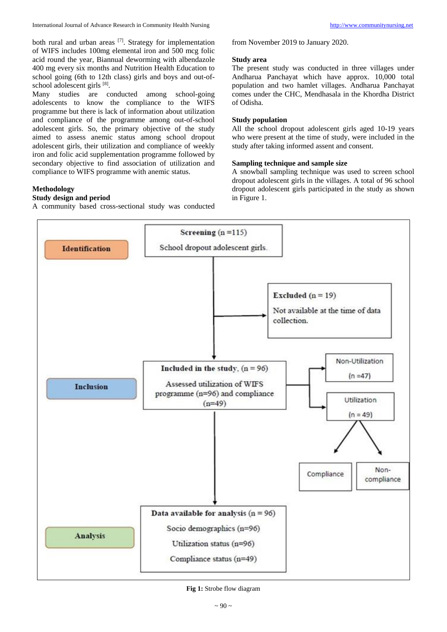both rural and urban areas [7]. Strategy for implementation of WIFS includes 100mg elemental iron and 500 mcg folic acid round the year, Biannual deworming with albendazole 400 mg every six months and Nutrition Health Education to school going (6th to 12th class) girls and boys and out-ofschool adolescent girls [8].

Many studies are conducted among school-going adolescents to know the compliance to the WIFS programme but there is lack of information about utilization and compliance of the programme among out-of-school adolescent girls. So, the primary objective of the study aimed to assess anemic status among school dropout adolescent girls, their utilization and compliance of weekly iron and folic acid supplementation programme followed by secondary objective to find association of utilization and compliance to WIFS programme with anemic status.

# **Methodology**

# **Study design and period**

A community based cross-sectional study was conducted

from November 2019 to January 2020.

#### **Study area**

The present study was conducted in three villages under Andharua Panchayat which have approx. 10,000 total population and two hamlet villages. Andharua Panchayat comes under the CHC, Mendhasala in the Khordha District of Odisha.

# **Study population**

All the school dropout adolescent girls aged 10-19 years who were present at the time of study, were included in the study after taking informed assent and consent.

# **Sampling technique and sample size**

A snowball sampling technique was used to screen school dropout adolescent girls in the villages. A total of 96 school dropout adolescent girls participated in the study as shown in Figure 1.



**Fig 1:** Strobe flow diagram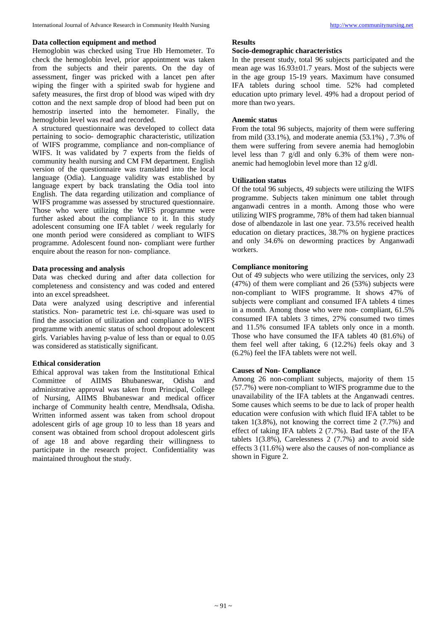#### **Data collection equipment and method**

Hemoglobin was checked using True Hb Hemometer. To check the hemoglobin level, prior appointment was taken from the subjects and their parents. On the day of assessment, finger was pricked with a lancet pen after wiping the finger with a spirited swab for hygiene and safety measures, the first drop of blood was wiped with dry cotton and the next sample drop of blood had been put on hemostrip inserted into the hemometer. Finally, the hemoglobin level was read and recorded.

A structured questionnaire was developed to collect data pertaining to socio- demographic characteristic, utilization of WIFS programme, compliance and non-compliance of WIFS. It was validated by 7 experts from the fields of community health nursing and CM FM department. English version of the questionnaire was translated into the local language (Odia). Language validity was established by language expert by back translating the Odia tool into English. The data regarding utilization and compliance of WIFS programme was assessed by structured questionnaire. Those who were utilizing the WIFS programme were further asked about the compliance to it. In this study adolescent consuming one IFA tablet / week regularly for one month period were considered as compliant to WIFS programme. Adolescent found non- compliant were further enquire about the reason for non- compliance.

#### **Data processing and analysis**

Data was checked during and after data collection for completeness and consistency and was coded and entered into an excel spreadsheet.

Data were analyzed using descriptive and inferential statistics. Non- parametric test i.e. chi-square was used to find the association of utilization and compliance to WIFS programme with anemic status of school dropout adolescent girls. Variables having p-value of less than or equal to 0.05 was considered as statistically significant.

## **Ethical consideration**

Ethical approval was taken from the Institutional Ethical Committee of AIIMS Bhubaneswar, Odisha and administrative approval was taken from Principal, College of Nursing, AIIMS Bhubaneswar and medical officer incharge of Community health centre, Mendhsala, Odisha. Written informed assent was taken from school dropout adolescent girls of age group 10 to less than 18 years and consent was obtained from school dropout adolescent girls of age 18 and above regarding their willingness to participate in the research project. Confidentiality was maintained throughout the study.

#### **Results**

# **Socio-demographic characteristics**

In the present study, total 96 subjects participated and the mean age was 16.93±01.7 years. Most of the subjects were in the age group 15-19 years. Maximum have consumed IFA tablets during school time. 52% had completed education upto primary level. 49% had a dropout period of more than two years.

### **Anemic status**

From the total 96 subjects, majority of them were suffering from mild (33.1%), and moderate anemia (53.1%) , 7.3% of them were suffering from severe anemia had hemoglobin level less than 7 g/dl and only 6.3% of them were nonanemic had hemoglobin level more than 12 g/dl.

#### **Utilization status**

Of the total 96 subjects, 49 subjects were utilizing the WIFS programme. Subjects taken minimum one tablet through anganwadi centres in a month. Among those who were utilizing WIFS programme, 78% of them had taken biannual dose of albendazole in last one year. 73.5% received health education on dietary practices, 38.7% on hygiene practices and only 34.6% on deworming practices by Anganwadi workers.

#### **Compliance monitoring**

Out of 49 subjects who were utilizing the services, only 23 (47%) of them were compliant and 26 (53%) subjects were non-compliant to WIFS programme. It shows 47% of subjects were compliant and consumed IFA tablets 4 times in a month. Among those who were non- compliant, 61.5% consumed IFA tablets 3 times, 27% consumed two times and 11.5% consumed IFA tablets only once in a month. Those who have consumed the IFA tablets 40 (81.6%) of them feel well after taking, 6 (12.2%) feels okay and 3 (6.2%) feel the IFA tablets were not well.

## **Causes of Non- Compliance**

Among 26 non-compliant subjects, majority of them 15 (57.7%) were non-compliant to WIFS programme due to the unavailability of the IFA tablets at the Anganwadi centres. Some causes which seems to be due to lack of proper health education were confusion with which fluid IFA tablet to be taken  $1(3.8\%)$ , not knowing the correct time 2 (7.7%) and effect of taking IFA tablets 2 (7.7%). Bad taste of the IFA tablets  $1(3.8\%)$ , Carelessness  $2(7.7\%)$  and to avoid side effects 3 (11.6%) were also the causes of non-compliance as shown in Figure 2.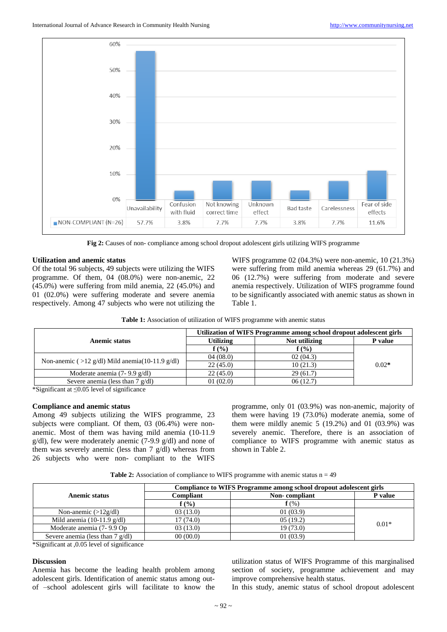

**Fig 2:** Causes of non- compliance among school dropout adolescent girls utilizing WIFS programme

#### **Utilization and anemic status**

Of the total 96 subjects, 49 subjects were utilizing the WIFS programme. Of them, 04 (08.0%) were non-anemic, 22  $(45.0%)$  were suffering from mild anemia, 22 (45.0%) and 01 (02.0%) were suffering moderate and severe anemia respectively. Among 47 subjects who were not utilizing the

WIFS programme 02 (04.3%) were non-anemic, 10 (21.3%) were suffering from mild anemia whereas 29 (61.7%) and 06 (12.7%) were suffering from moderate and severe anemia respectively. Utilization of WIFS programme found to be significantly associated with anemic status as shown in Table 1.

|                                                    | Utilization of WIFS Programme among school dropout adolescent girls |               |         |
|----------------------------------------------------|---------------------------------------------------------------------|---------------|---------|
| Anemic status                                      | <b>Utilizing</b>                                                    | Not utilizing | P value |
|                                                    | f(%)                                                                | $f($ %)       | $0.02*$ |
| Non-anemic ( $>12$ g/dl) Mild anemia(10-11.9 g/dl) | 04(08.0)                                                            | 02(04.3)      |         |
|                                                    | 22(45.0)                                                            | 10(21.3)      |         |
| Moderate anemia $(7-9.9 \text{ g/dl})$             | 22(45.0)                                                            | 29(61.7)      |         |
| Severe anemia (less than $7$ g/dl)                 | 01(02.0)                                                            | 06(12.7)      |         |

\*Significant at ≤0.05 level of significance

#### **Compliance and anemic status**

Among 49 subjects utilizing the WIFS programme, 23 subjects were compliant. Of them, 03 (06.4%) were nonanemic. Most of them was having mild anemia (10-11.9 g/dl), few were moderately anemic (7-9.9 g/dl) and none of them was severely anemic (less than 7 g/dl) whereas from 26 subjects who were non- compliant to the WIFS

programme, only 01 (03.9%) was non-anemic, majority of them were having 19 (73.0%) moderate anemia, some of them were mildly anemic  $5(19.2\%)$  and  $01(03.9\%)$  was severely anemic. Therefore, there is an association of compliance to WIFS programme with anemic status as shown in Table 2.

**Table 2:** Association of compliance to WIFS programme with anemic status  $n = 49$ 

|                                      | Compliance to WIFS Programme among school dropout adolescent girls |               |         |  |
|--------------------------------------|--------------------------------------------------------------------|---------------|---------|--|
| Anemic status                        | Compliant                                                          | Non-compliant | P value |  |
|                                      | $f(\%)$                                                            | $f(\%)$       |         |  |
| Non-anemic $(>12g/dl)$               | 03(13.0)                                                           | 01(03.9)      |         |  |
| Mild anemia $(10-11.9 \text{ g/dl})$ | 17(74.0)                                                           | 05(19.2)      | $0.01*$ |  |
| Moderate anemia (7-9.9 Op            | 03(13.0)                                                           | 19(73.0)      |         |  |
| Severe anemia (less than $7$ g/dl)   | 00(00.0)                                                           | 01(03.9)      |         |  |

\*Significant at ,0.05 level of significance

#### **Discussion**

Anemia has become the leading health problem among adolescent girls. Identification of anemic status among outof –school adolescent girls will facilitate to know the

utilization status of WIFS Programme of this marginalised section of society, programme achievement and may improve comprehensive health status.

In this study, anemic status of school dropout adolescent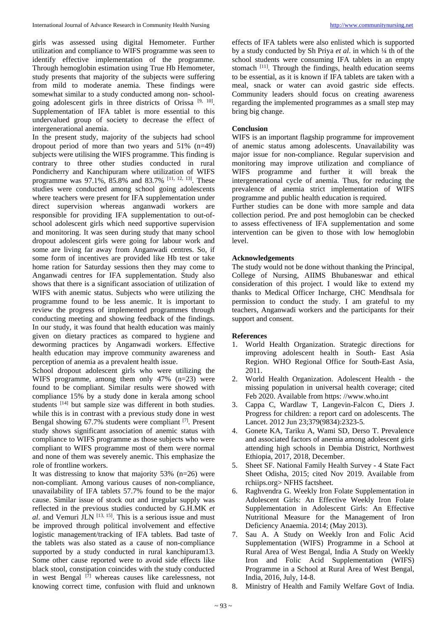girls was assessed using digital Hemometer. Further utilization and compliance to WIFS programme was seen to identify effective implementation of the programme. Through hemoglobin estimation using True Hb Hemometer, study presents that majority of the subjects were suffering from mild to moderate anemia. These findings were somewhat similar to a study conducted among non- schoolgoing adolescent girls in three districts of Orissa<sup>[9, 10]</sup>. Supplementation of IFA tablet is more essential to this undervalued group of society to decrease the effect of intergenerational anemia.

In the present study, majority of the subjects had school dropout period of more than two years and  $51\%$  (n=49) subjects were utilising the WIFS programme. This finding is contrary to three other studies conducted in rural Pondicherry and Kanchipuram where utilization of WIFS programme was 97.1%, 85.8% and 83.7% <sup>[11, 12, 13]</sup>. These studies were conducted among school going adolescents where teachers were present for IFA supplementation under direct supervision whereas anganwadi workers are responsible for providing IFA supplementation to out-ofschool adolescent girls which need supportive supervision and monitoring. It was seen during study that many school dropout adolescent girls were going for labour work and some are living far away from Anganwadi centres. So, if some form of incentives are provided like Hb test or take home ration for Saturday sessions then they may come to Anganwadi centres for IFA supplementation. Study also shows that there is a significant association of utilization of WIFS with anemic status. Subjects who were utilizing the programme found to be less anemic. It is important to review the progress of implemented programmes through conducting meeting and showing feedback of the findings. In our study, it was found that health education was mainly given on dietary practices as compared to hygiene and deworming practices by Anganwadi workers. Effective health education may improve community awareness and perception of anemia as a prevalent health issue.

School dropout adolescent girls who were utilizing the WIFS programme, among them only 47% (n=23) were found to be compliant. Similar results were showed with compliance 15% by a study done in kerala among school students <sup>[14]</sup> but sample size was different in both studies. while this is in contrast with a previous study done in west Bengal showing 67.7% students were compliant <sup>[7]</sup>. Present study shows significant association of anemic status with compliance to WIFS programme as those subjects who were compliant to WIFS programme most of them were normal and none of them was severely anemic. This emphasize the role of frontline workers.

It was distressing to know that majority  $53\%$  (n=26) were non-compliant. Among various causes of non-compliance, unavailability of IFA tablets 57.7% found to be the major cause. Similar issue of stock out and irregular supply was reflected in the previous studies conducted by G.H.MK *et al*. and Vemuri JLN [13, 15] . This is a serious issue and must be improved through political involvement and effective logistic management/tracking of IFA tablets. Bad taste of the tablets was also stated as a cause of non-compliance supported by a study conducted in rural kanchipuram13. Some other cause reported were to avoid side effects like black stool, constipation coincides with the study conducted in west Bengal<sup>[7]</sup> whereas causes like carelessness, not knowing correct time, confusion with fluid and unknown

effects of IFA tablets were also enlisted which is supported by a study conducted by Sh Priya *et al*. in which ¼ th of the school students were consuming IFA tablets in an empty stomach <sup>[11]</sup>. Through the findings, health education seems to be essential, as it is known if IFA tablets are taken with a meal, snack or water can avoid gastric side effects. Community leaders should focus on creating awareness regarding the implemented programmes as a small step may bring big change.

#### **Conclusion**

WIFS is an important flagship programme for improvement of anemic status among adolescents. Unavailability was major issue for non-compliance. Regular supervision and monitoring may improve utilization and compliance of WIFS programme and further it will break the intergenerational cycle of anemia. Thus, for reducing the prevalence of anemia strict implementation of WIFS programme and public health education is required.

Further studies can be done with more sample and data collection period. Pre and post hemoglobin can be checked to assess effectiveness of IFA supplementation and some intervention can be given to those with low hemoglobin level.

#### **Acknowledgements**

The study would not be done without thanking the Principal, College of Nursing, AIIMS Bhubaneswar and ethical consideration of this project. I would like to extend my thanks to Medical Officer Incharge, CHC Mendhsala for permission to conduct the study. I am grateful to my teachers, Anganwadi workers and the participants for their support and consent.

#### **References**

- 1. World Health Organization. Strategic directions for improving adolescent health in South- East Asia Region. WHO Regional Office for South-East Asia, 2011.
- 2. World Health Organization. Adolescent Health the missing population in universal health coverage; cited Feb 2020. Available from https: //www.who.int
- 3. Cappa C, Wardlaw T, Langevin-Falcon C, Diers J. Progress for children: a report card on adolescents. The Lancet. 2012 Jun 23;379(9834):2323-5.
- 4. Gonete KA, Tariku A, Wami SD, Derso T. Prevalence and associated factors of anemia among adolescent girls attending high schools in Dembia District, Northwest Ethiopia, 2017, 2018, December.
- 5. Sheet SF. National Family Health Survey 4 State Fact Sheet Odisha, 2015; cited Nov 2019. Available from rchiips.org> NFHS factsheet.
- 6. Raghvendra G. Weekly Iron Folate Supplementation in Adolescent Girls: An Effective Weekly Iron Folate Supplementation in Adolescent Girls: An Effective Nutritional Measure for the Management of Iron Deficiency Anaemia. 2014; (May 2013).
- 7. Sau A. A Study on Weekly Iron and Folic Acid Supplementation (WIFS) Programme in a School at Rural Area of West Bengal, India A Study on Weekly Iron and Folic Acid Supplementation (WIFS) Programme in a School at Rural Area of West Bengal, India, 2016, July, 14-8.
- 8. Ministry of Health and Family Welfare Govt of India.